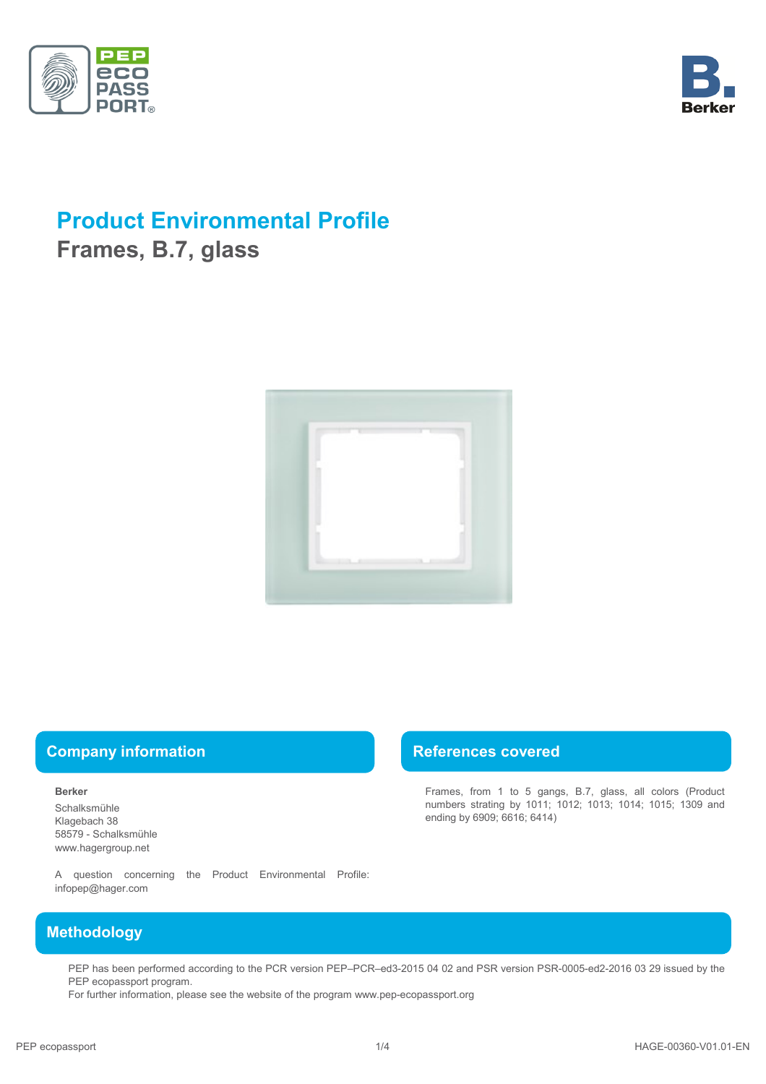



# **Product Environmental Profile**

**Frames, B.7, glass**



## **Company information Company information References covered**

#### **Berker**

Schalksmühle Klagebach 38 58579 - Schalksmühle www.hagergroup.net

Frames, from 1 to 5 gangs, B.7, glass, all colors (Product numbers strating by 1011; 1012; 1013; 1014; 1015; 1309 and ending by 6909; 6616; 6414)

A question concerning the Product Environmental Profile: infopep@hager.com

## **Methodology**

PEP has been performed according to the PCR version PEP–PCR–ed3-2015 04 02 and PSR version PSR-0005-ed2-2016 03 29 issued by the PEP ecopassport program.

For further information, please see the website of the program www.pep-ecopassport.org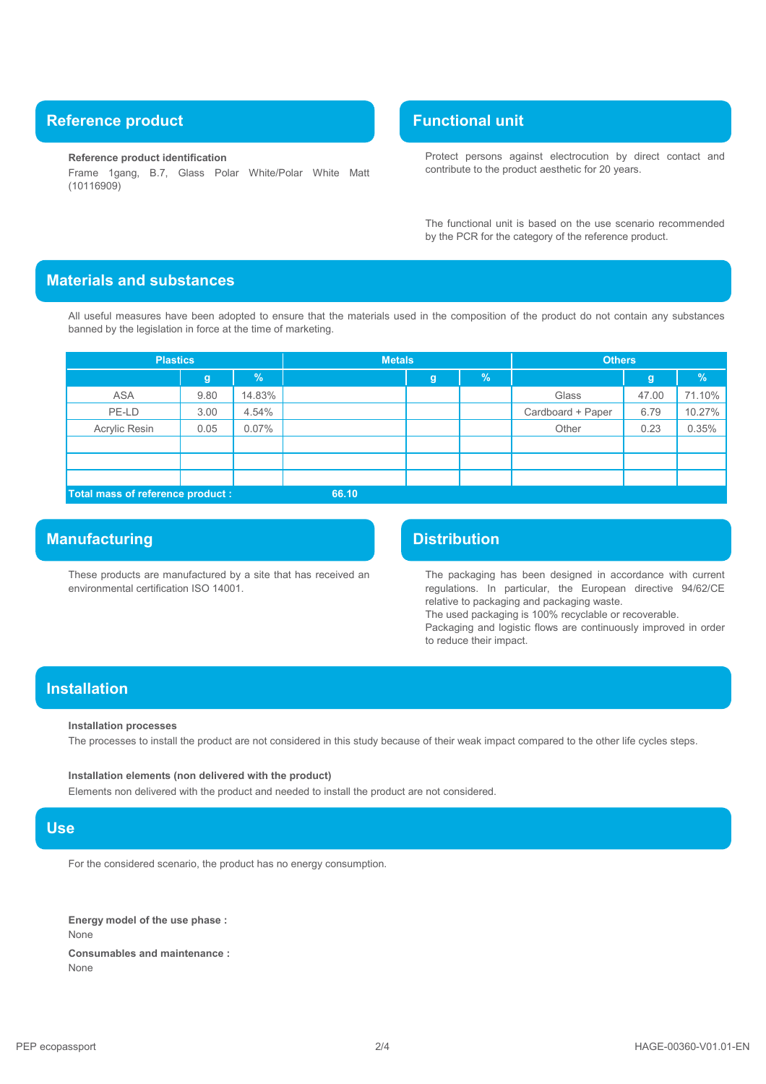## **Reference product Functional unit Reference product**

#### **Reference product identification**

Frame 1gang, B.7, Glass Polar White/Polar White Matt (10116909)

Protect persons against electrocution by direct contact and contribute to the product aesthetic for 20 years.

The functional unit is based on the use scenario recommended by the PCR for the category of the reference product.

## **Materials and substances**

All useful measures have been adopted to ensure that the materials used in the composition of the product do not contain any substances banned by the legislation in force at the time of marketing.

| <b>Plastics</b> |                                            | <b>Metals</b> |  |   | <b>Others</b> |                   |       |               |
|-----------------|--------------------------------------------|---------------|--|---|---------------|-------------------|-------|---------------|
|                 | g                                          | %             |  | g | $\frac{9}{6}$ |                   | g     | $\frac{9}{6}$ |
| <b>ASA</b>      | 9.80                                       | 14.83%        |  |   |               | Glass             | 47.00 | 71.10%        |
| PE-LD           | 3.00                                       | 4.54%         |  |   |               | Cardboard + Paper | 6.79  | 10.27%        |
| Acrylic Resin   | 0.05                                       | 0.07%         |  |   |               | Other             | 0.23  | 0.35%         |
|                 |                                            |               |  |   |               |                   |       |               |
|                 |                                            |               |  |   |               |                   |       |               |
|                 |                                            |               |  |   |               |                   |       |               |
|                 | Total mass of reference product :<br>66.10 |               |  |   |               |                   |       |               |

## **Manufacturing Distribution**

These products are manufactured by a site that has received an environmental certification ISO 14001.

The packaging has been designed in accordance with current regulations. In particular, the European directive 94/62/CE relative to packaging and packaging waste.

The used packaging is 100% recyclable or recoverable.

Packaging and logistic flows are continuously improved in order to reduce their impact.

## **Installation**

#### **Installation processes**

The processes to install the product are not considered in this study because of their weak impact compared to the other life cycles steps.

## **Installation elements (non delivered with the product)**

Elements non delivered with the product and needed to install the product are not considered.

### **Use**

For the considered scenario, the product has no energy consumption.

None **Consumables and maintenance :** None **Energy model of the use phase :**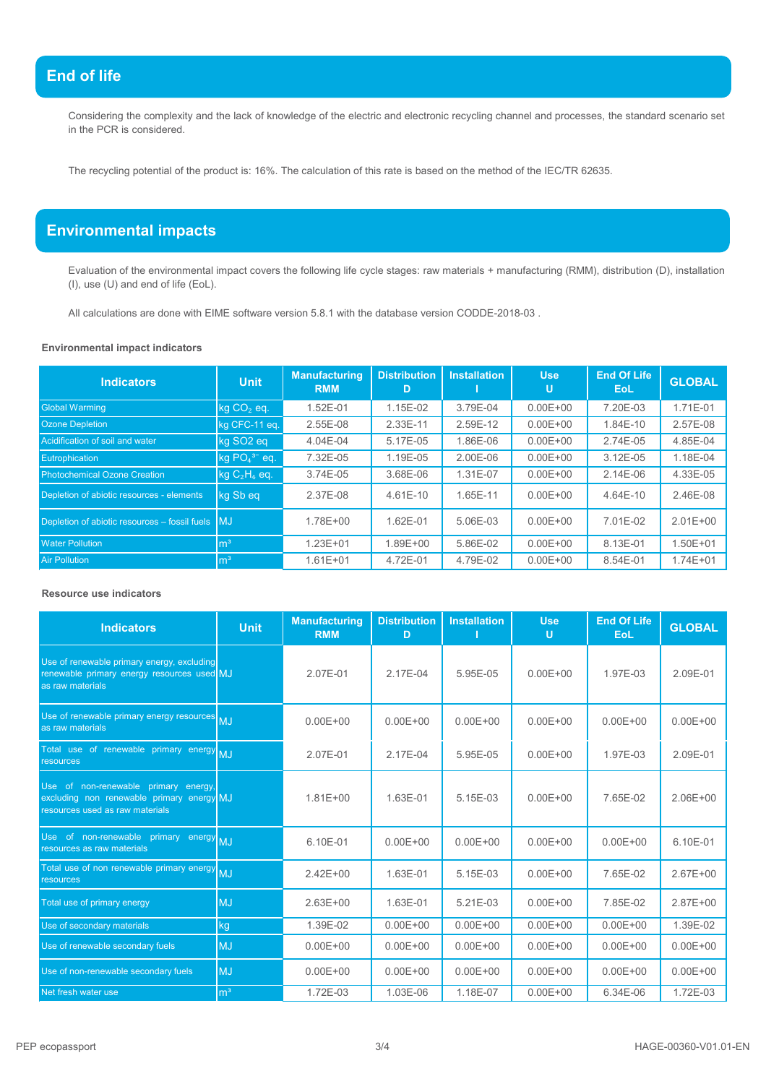## **End of life**

Considering the complexity and the lack of knowledge of the electric and electronic recycling channel and processes, the standard scenario set in the PCR is considered.

The recycling potential of the product is: 16%. The calculation of this rate is based on the method of the IEC/TR 62635.

## **Environmental impacts**

Evaluation of the environmental impact covers the following life cycle stages: raw materials + manufacturing (RMM), distribution (D), installation (I), use (U) and end of life (EoL).

All calculations are done with EIME software version 5.8.1 with the database version CODDE-2018-03 .

### **Environmental impact indicators**

| Indicators                                                     | <b>Unit</b>           | <b>Manufacturing</b><br><b>RMM</b> | <b>Distribution</b><br>D | <b>Installation</b> | <b>Use</b><br>U | <b>End Of Life</b><br>EoL. | <b>GLOBAL</b> |
|----------------------------------------------------------------|-----------------------|------------------------------------|--------------------------|---------------------|-----------------|----------------------------|---------------|
| <b>Global Warming</b>                                          | $kg CO2$ eq.          | 1.52E-01                           | 1.15E-02                 | 3.79E-04            | $0.00E + 00$    | 7.20E-03                   | 1.71E-01      |
| <b>Ozone Depletion</b>                                         | kg CFC-11 eq.         | 2.55E-08                           | 2.33E-11                 | 2.59E-12            | $0.00E + 00$    | 1.84E-10                   | 2.57E-08      |
| Acidification of soil and water                                | kg SO <sub>2</sub> eg | 4.04E-04                           | 5.17E-05                 | 1.86E-06            | $0.00E + 00$    | 2.74E-05                   | 4.85E-04      |
| Eutrophication                                                 | $kg PO43- eq.$        | 7.32E-05                           | 1.19E-05                 | 2.00E-06            | $0.00E + 00$    | 3.12E-05                   | 1.18E-04      |
| <b>Photochemical Ozone Creation</b>                            | $kg C2H4$ eq.         | 3.74E-05                           | 3.68E-06                 | 1.31E-07            | $0.00E + 00$    | 2.14E-06                   | 4.33E-05      |
| Depletion of abiotic resources - elements                      | kg Sb eq              | 2.37E-08                           | $4.61E - 10$             | 1.65E-11            | $0.00E + 00$    | 4.64E-10                   | 2.46E-08      |
| Depletion of abiotic resources $-$ fossil fuels $\blacksquare$ |                       | 1.78E+00                           | 1.62E-01                 | 5.06E-03            | $0.00E + 00$    | 7.01E-02                   | $2.01E + 00$  |
| <b>Water Pollution</b>                                         | $\mathsf{m}^3$        | $1.23E + 01$                       | 1.89E+00                 | 5.86E-02            | $0.00E + 00$    | 8.13E-01                   | $1.50E + 01$  |
| <b>Air Pollution</b>                                           | m <sup>3</sup>        | $1.61E + 01$                       | 4.72E-01                 | 4.79E-02            | $0.00E + 00$    | 8.54E-01                   | $1.74E + 01$  |

#### **Resource use indicators**

| <b>Indicators</b>                                                                                                    | <b>Unit</b>    | <b>Manufacturing</b><br><b>RMM</b> | <b>Distribution</b><br>D | <b>Installation</b> | <b>Use</b><br>U | <b>End Of Life</b><br><b>EoL</b> | <b>GLOBAL</b> |
|----------------------------------------------------------------------------------------------------------------------|----------------|------------------------------------|--------------------------|---------------------|-----------------|----------------------------------|---------------|
| Use of renewable primary energy, excluding<br>renewable primary energy resources used MJ<br>as raw materials         |                | 2.07E-01                           | 2.17E-04                 | 5.95E-05            | $0.00E + 00$    | 1.97E-03                         | 2.09E-01      |
| Use of renewable primary energy resources MJ<br>as raw materials                                                     |                | $0.00E + 00$                       | $0.00E + 00$             | $0.00E + 00$        | $0.00E + 00$    | $0.00E + 00$                     | $0.00E + 00$  |
| Total use of renewable primary energy MJ<br><b>resources</b>                                                         |                | 2.07E-01                           | 2.17E-04                 | 5.95E-05            | $0.00E + 00$    | 1.97E-03                         | 2.09E-01      |
| Use of non-renewable primary energy,<br>excluding non renewable primary energy MJ<br>resources used as raw materials |                | $1.81E + 00$                       | 1.63E-01                 | 5.15E-03            | $0.00E + 00$    | 7.65E-02                         | $2.06E + 00$  |
| Use of non-renewable primary energy MJ<br>resources as raw materials                                                 |                | 6.10E-01                           | $0.00E + 00$             | $0.00E + 00$        | $0.00E + 00$    | $0.00E + 00$                     | 6.10E-01      |
| Total use of non renewable primary energy<br>resources                                                               | <b>MJ</b>      | $2.42E + 00$                       | 1.63E-01                 | 5.15E-03            | $0.00E + 00$    | 7.65E-02                         | $2.67E + 00$  |
| Total use of primary energy                                                                                          | <b>MJ</b>      | $2.63E + 00$                       | 1.63E-01                 | $5.21E - 03$        | $0.00E + 00$    | 7.85E-02                         | $2.87E + 00$  |
| Use of secondary materials                                                                                           | kg             | 1.39E-02                           | $0.00E + 00$             | $0.00E + 00$        | $0.00E + 00$    | $0.00E + 00$                     | 1.39E-02      |
| Use of renewable secondary fuels                                                                                     | <b>MJ</b>      | $0.00E + 00$                       | $0.00E + 00$             | $0.00E + 00$        | $0.00E + 00$    | $0.00E + 00$                     | $0.00E + 00$  |
| Use of non-renewable secondary fuels                                                                                 | <b>MJ</b>      | $0.00E + 00$                       | $0.00E + 00$             | $0.00E + 00$        | $0.00E + 00$    | $0.00E + 00$                     | $0.00E + 00$  |
| Net fresh water use                                                                                                  | m <sup>3</sup> | 1.72E-03                           | 1.03E-06                 | 1.18E-07            | $0.00E + 00$    | 6.34E-06                         | 1.72E-03      |